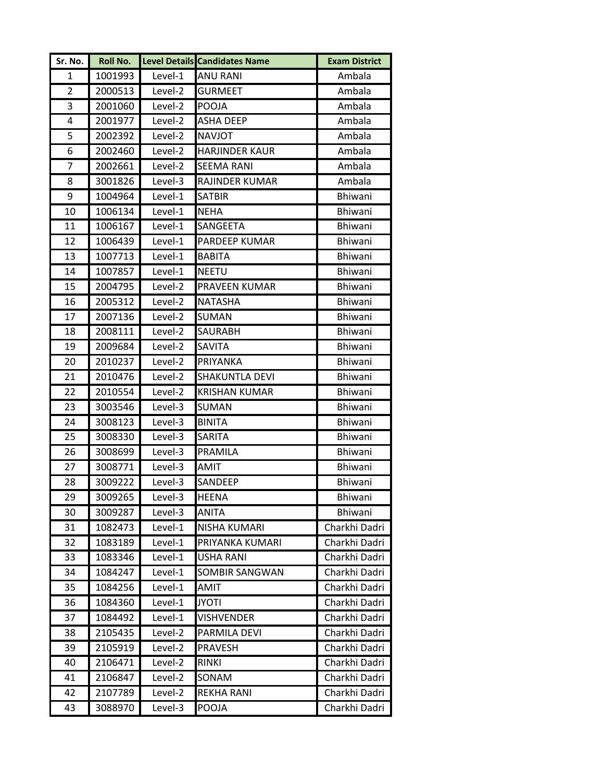| Sr. No. | Roll No. |           | <b>Level Details Candidates Name</b> | <b>Exam District</b> |
|---------|----------|-----------|--------------------------------------|----------------------|
| 1       | 1001993  | Level-1   | <b>ANU RANI</b>                      | Ambala               |
| 2       | 2000513  | Level-2   | <b>GURMEET</b>                       | Ambala               |
| 3       | 2001060  | Level-2   | <b>POOJA</b>                         | Ambala               |
| 4       | 2001977  | Level-2   | <b>ASHA DEEP</b>                     | Ambala               |
| 5       | 2002392  | Level-2   | <b>NAVJOT</b>                        | Ambala               |
| 6       | 2002460  | Level-2   | <b>HARJINDER KAUR</b>                | Ambala               |
| 7       | 2002661  | Level-2   | <b>SEEMA RANI</b>                    | Ambala               |
| 8       | 3001826  | Level-3   | RAJINDER KUMAR                       | Ambala               |
| 9       | 1004964  | Level-1   | <b>SATBIR</b>                        | <b>Bhiwani</b>       |
| 10      | 1006134  | Level-1   | <b>NEHA</b>                          | Bhiwani              |
| 11      | 1006167  | Level-1   | SANGEETA                             | Bhiwani              |
| 12      | 1006439  | Level-1   | PARDEEP KUMAR                        | Bhiwani              |
| 13      | 1007713  | Level-1   | <b>BABITA</b>                        | Bhiwani              |
| 14      | 1007857  | Level-1   | <b>NEETU</b>                         | Bhiwani              |
| 15      | 2004795  | Level-2   | PRAVEEN KUMAR                        | <b>Bhiwani</b>       |
| 16      | 2005312  | Level-2   | <b>NATASHA</b>                       | Bhiwani              |
| 17      | 2007136  | Level-2   | SUMAN                                | Bhiwani              |
| 18      | 2008111  | Level-2   | SAURABH                              | <b>Bhiwani</b>       |
| 19      | 2009684  | Level-2   | SAVITA                               | Bhiwani              |
| 20      | 2010237  | Level-2   | PRIYANKA                             | Bhiwani              |
| 21      | 2010476  | Level-2   | SHAKUNTLA DEVI                       | Bhiwani              |
| 22      | 2010554  | Level-2   | <b>KRISHAN KUMAR</b>                 | <b>Bhiwani</b>       |
| 23      | 3003546  | Level-3   | <b>SUMAN</b>                         | Bhiwani              |
| 24      | 3008123  | Level-3   | <b>BINITA</b>                        | Bhiwani              |
| 25      | 3008330  | Level-3   | SARITA                               | Bhiwani              |
| 26      | 3008699  | Level-3   | PRAMILA                              | Bhiwani              |
| 27      | 3008771  | Level-3   | <b>AMIT</b>                          | Bhiwani              |
| 28      | 3009222  | Level-3   | SANDEEP                              | <b>Bhiwani</b>       |
| 29      | 3009265  | $Level-3$ | <b>HEENA</b>                         | Bhiwani              |
| 30      | 3009287  | Level-3   | <b>ANITA</b>                         | Bhiwani              |
| 31      | 1082473  | Level-1   | NISHA KUMARI                         | Charkhi Dadri        |
| 32      | 1083189  | Level-1   | PRIYANKA KUMARI                      | Charkhi Dadri        |
| 33      | 1083346  | Level-1   | <b>USHA RANI</b>                     | Charkhi Dadri        |
| 34      | 1084247  | Level-1   | SOMBIR SANGWAN                       | Charkhi Dadri        |
| 35      | 1084256  | Level-1   | AMIT                                 | Charkhi Dadri        |
| 36      | 1084360  | Level-1   | <b>JYOTI</b>                         | Charkhi Dadri        |
| 37      | 1084492  | Level-1   | <b>VISHVENDER</b>                    | Charkhi Dadri        |
| 38      | 2105435  | Level-2   | PARMILA DEVI                         | Charkhi Dadri        |
| 39      | 2105919  | Level-2   | <b>PRAVESH</b>                       | Charkhi Dadri        |
| 40      | 2106471  | Level-2   | <b>RINKI</b>                         | Charkhi Dadri        |
| 41      | 2106847  | Level-2   | SONAM                                | Charkhi Dadri        |
| 42      | 2107789  | Level-2   | <b>REKHA RANI</b>                    | Charkhi Dadri        |
| 43      | 3088970  | Level-3   | POOJA                                | Charkhi Dadri        |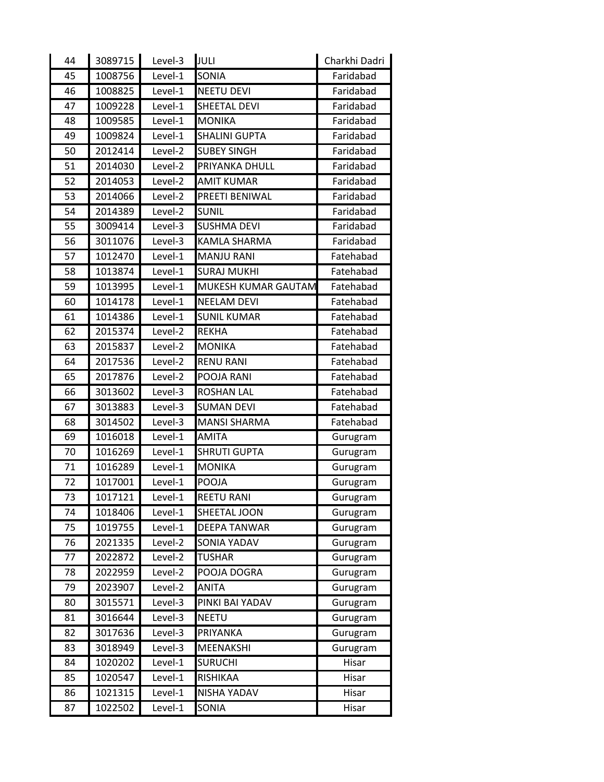| 44 | 3089715 | Level-3    | JULI                 | Charkhi Dadri |
|----|---------|------------|----------------------|---------------|
| 45 | 1008756 | Level-1    | <b>SONIA</b>         | Faridabad     |
| 46 | 1008825 | Level-1    | <b>NEETU DEVI</b>    | Faridabad     |
| 47 | 1009228 | Level-1    | SHEETAL DEVI         | Faridabad     |
| 48 | 1009585 | Level-1    | <b>MONIKA</b>        | Faridabad     |
| 49 | 1009824 | Level-1    | <b>SHALINI GUPTA</b> | Faridabad     |
| 50 | 2012414 | Level-2    | <b>SUBEY SINGH</b>   | Faridabad     |
| 51 | 2014030 | Level-2    | PRIYANKA DHULL       | Faridabad     |
| 52 | 2014053 | Level-2    | <b>AMIT KUMAR</b>    | Faridabad     |
| 53 | 2014066 | Level-2    | PREETI BENIWAL       | Faridabad     |
| 54 | 2014389 | Level-2    | <b>SUNIL</b>         | Faridabad     |
| 55 | 3009414 | Level-3    | <b>SUSHMA DEVI</b>   | Faridabad     |
| 56 | 3011076 | Level-3    | <b>KAMLA SHARMA</b>  | Faridabad     |
| 57 | 1012470 | Level-1    | <b>MANJU RANI</b>    | Fatehabad     |
| 58 | 1013874 | Level-1    | <b>SURAJ MUKHI</b>   | Fatehabad     |
| 59 | 1013995 | Level-1    | MUKESH KUMAR GAUTAM  | Fatehabad     |
| 60 | 1014178 | Level-1    | <b>NEELAM DEVI</b>   | Fatehabad     |
| 61 | 1014386 | Level-1    | <b>SUNIL KUMAR</b>   | Fatehabad     |
| 62 | 2015374 | Level-2    | <b>REKHA</b>         | Fatehabad     |
| 63 | 2015837 | Level-2    | <b>MONIKA</b>        | Fatehabad     |
| 64 | 2017536 | Level-2    | <b>RENU RANI</b>     | Fatehabad     |
| 65 | 2017876 | Level-2    | POOJA RANI           | Fatehabad     |
| 66 | 3013602 | Level-3    | <b>ROSHAN LAL</b>    | Fatehabad     |
| 67 | 3013883 | Level-3    | <b>SUMAN DEVI</b>    | Fatehabad     |
| 68 | 3014502 | Level-3    | <b>MANSI SHARMA</b>  | Fatehabad     |
| 69 | 1016018 | $L$ evel-1 | <b>AMITA</b>         | Gurugram      |
| 70 | 1016269 | Level-1    | <b>SHRUTI GUPTA</b>  | Gurugram      |
| 71 | 1016289 | Level-1    | <b>MONIKA</b>        | Gurugram      |
| 72 | 1017001 | Level-1    | POOJA                | Gurugram      |
| 73 | 1017121 | Level-1    | REETU RANI           | Gurugram      |
| 74 | 1018406 | Level-1    | SHEETAL JOON         | Gurugram      |
| 75 | 1019755 | Level-1    | DEEPA TANWAR         | Gurugram      |
| 76 | 2021335 | Level-2    | <b>SONIA YADAV</b>   | Gurugram      |
| 77 | 2022872 | Level-2    | <b>TUSHAR</b>        | Gurugram      |
| 78 | 2022959 | Level-2    | POOJA DOGRA          | Gurugram      |
| 79 | 2023907 | Level-2    | ANITA                | Gurugram      |
| 80 | 3015571 | Level-3    | PINKI BAI YADAV      | Gurugram      |
| 81 | 3016644 | Level-3    | <b>NEETU</b>         | Gurugram      |
| 82 | 3017636 | Level-3    | PRIYANKA             | Gurugram      |
| 83 | 3018949 | Level-3    | MEENAKSHI            | Gurugram      |
| 84 | 1020202 | Level-1    | <b>SURUCHI</b>       | Hisar         |
| 85 | 1020547 | Level-1    | RISHIKAA             | Hisar         |
| 86 | 1021315 | Level-1    | NISHA YADAV          | Hisar         |
| 87 | 1022502 | Level-1    | SONIA                | Hisar         |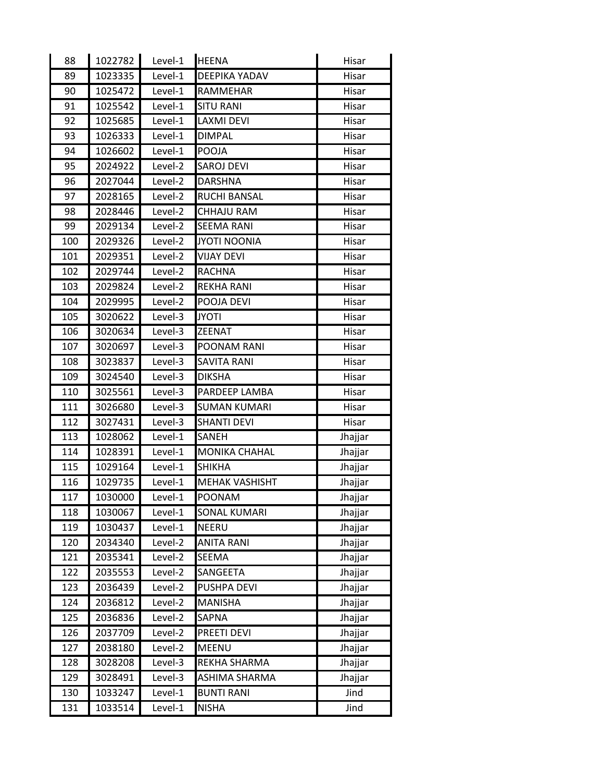| 88  | 1022782 | Level-1 | <b>HEENA</b>          | Hisar   |
|-----|---------|---------|-----------------------|---------|
| 89  | 1023335 | Level-1 | DEEPIKA YADAV         | Hisar   |
| 90  | 1025472 | Level-1 | RAMMEHAR              | Hisar   |
| 91  | 1025542 | Level-1 | <b>SITU RANI</b>      | Hisar   |
| 92  | 1025685 | Level-1 | <b>LAXMI DEVI</b>     | Hisar   |
| 93  | 1026333 | Level-1 | <b>DIMPAL</b>         | Hisar   |
| 94  | 1026602 | Level-1 | <b>POOJA</b>          | Hisar   |
| 95  | 2024922 | Level-2 | <b>SAROJ DEVI</b>     | Hisar   |
| 96  | 2027044 | Level-2 | <b>DARSHNA</b>        | Hisar   |
| 97  | 2028165 | Level-2 | <b>RUCHI BANSAL</b>   | Hisar   |
| 98  | 2028446 | Level-2 | <b>CHHAJU RAM</b>     | Hisar   |
| 99  | 2029134 | Level-2 | <b>SEEMA RANI</b>     | Hisar   |
| 100 | 2029326 | Level-2 | <b>JYOTI NOONIA</b>   | Hisar   |
| 101 | 2029351 | Level-2 | <b>VIJAY DEVI</b>     | Hisar   |
| 102 | 2029744 | Level-2 | <b>RACHNA</b>         | Hisar   |
| 103 | 2029824 | Level-2 | <b>REKHA RANI</b>     | Hisar   |
| 104 | 2029995 | Level-2 | POOJA DEVI            | Hisar   |
| 105 | 3020622 | Level-3 | <b>JYOTI</b>          | Hisar   |
| 106 | 3020634 | Level-3 | <b>ZEENAT</b>         | Hisar   |
| 107 | 3020697 | Level-3 | POONAM RANI           | Hisar   |
| 108 | 3023837 | Level-3 | <b>SAVITA RANI</b>    | Hisar   |
| 109 | 3024540 | Level-3 | <b>DIKSHA</b>         | Hisar   |
| 110 | 3025561 | Level-3 | PARDEEP LAMBA         | Hisar   |
| 111 | 3026680 | Level-3 | <b>SUMAN KUMARI</b>   | Hisar   |
| 112 | 3027431 | Level-3 | <b>SHANTI DEVI</b>    | Hisar   |
| 113 | 1028062 | Level-1 | SANEH                 | Jhajjar |
| 114 | 1028391 | Level-1 | <b>MONIKA CHAHAL</b>  | Jhajjar |
| 115 | 1029164 | Level-1 | <b>SHIKHA</b>         | Jhajjar |
| 116 | 1029735 | Level-1 | <b>MEHAK VASHISHT</b> | Jhajjar |
| 117 | 1030000 | Level-1 | POONAM                | Jhajjar |
| 118 | 1030067 | Level-1 | <b>SONAL KUMARI</b>   | Jhajjar |
| 119 | 1030437 | Level-1 | <b>NEERU</b>          | Jhajjar |
| 120 | 2034340 | Level-2 | <b>ANITA RANI</b>     | Jhajjar |
| 121 | 2035341 | Level-2 | <b>SEEMA</b>          | Jhajjar |
| 122 | 2035553 | Level-2 | SANGEETA              | Jhajjar |
| 123 | 2036439 | Level-2 | PUSHPA DEVI           | Jhajjar |
| 124 | 2036812 | Level-2 | <b>MANISHA</b>        | Jhajjar |
| 125 | 2036836 | Level-2 | SAPNA                 | Jhajjar |
| 126 | 2037709 | Level-2 | PREETI DEVI           | Jhajjar |
| 127 | 2038180 | Level-2 | <b>MEENU</b>          | Jhajjar |
| 128 | 3028208 | Level-3 | REKHA SHARMA          | Jhajjar |
| 129 | 3028491 | Level-3 | ASHIMA SHARMA         | Jhajjar |
| 130 | 1033247 | Level-1 | <b>BUNTI RANI</b>     | Jind    |
| 131 | 1033514 | Level-1 | <b>NISHA</b>          | Jind    |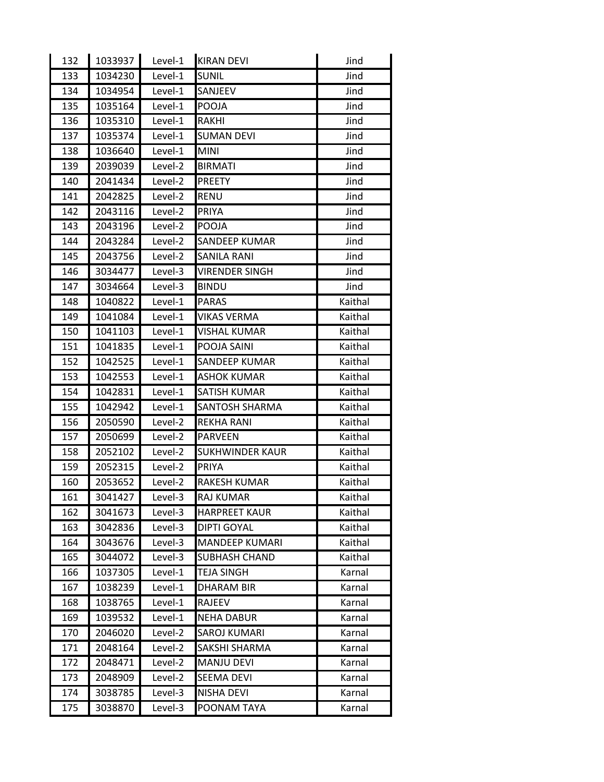| 132 | 1033937 | Level-1 | <b>KIRAN DEVI</b>      | Jind    |
|-----|---------|---------|------------------------|---------|
| 133 | 1034230 | Level-1 | <b>SUNIL</b>           | Jind    |
| 134 | 1034954 | Level-1 | SANJEEV                | Jind    |
| 135 | 1035164 | Level-1 | POOJA                  | Jind    |
| 136 | 1035310 | Level-1 | <b>RAKHI</b>           | Jind    |
| 137 | 1035374 | Level-1 | <b>SUMAN DEVI</b>      | Jind    |
| 138 | 1036640 | Level-1 | <b>MINI</b>            | Jind    |
| 139 | 2039039 | Level-2 | <b>BIRMATI</b>         | Jind    |
| 140 | 2041434 | Level-2 | <b>PREETY</b>          | Jind    |
| 141 | 2042825 | Level-2 | <b>RENU</b>            | Jind    |
| 142 | 2043116 | Level-2 | <b>PRIYA</b>           | Jind    |
| 143 | 2043196 | Level-2 | POOJA                  | Jind    |
| 144 | 2043284 | Level-2 | SANDEEP KUMAR          | Jind    |
| 145 | 2043756 | Level-2 | <b>SANILA RANI</b>     | Jind    |
| 146 | 3034477 | Level-3 | <b>VIRENDER SINGH</b>  | Jind    |
| 147 | 3034664 | Level-3 | <b>BINDU</b>           | Jind    |
| 148 | 1040822 | Level-1 | <b>PARAS</b>           | Kaithal |
| 149 | 1041084 | Level-1 | <b>VIKAS VERMA</b>     | Kaithal |
| 150 | 1041103 | Level-1 | VISHAL KUMAR           | Kaithal |
| 151 | 1041835 | Level-1 | POOJA SAINI            | Kaithal |
| 152 | 1042525 | Level-1 | SANDEEP KUMAR          | Kaithal |
| 153 | 1042553 | Level-1 | <b>ASHOK KUMAR</b>     | Kaithal |
| 154 | 1042831 | Level-1 | <b>SATISH KUMAR</b>    | Kaithal |
| 155 | 1042942 | Level-1 | SANTOSH SHARMA         | Kaithal |
| 156 | 2050590 | Level-2 | <b>REKHA RANI</b>      | Kaithal |
| 157 | 2050699 | Level-2 | PARVEEN                | Kaithal |
| 158 | 2052102 | Level-2 | <b>SUKHWINDER KAUR</b> | Kaithal |
| 159 | 2052315 | Level-2 | <b>PRIYA</b>           | Kaithal |
| 160 | 2053652 | Level-2 | <b>RAKESH KUMAR</b>    | Kaithal |
| 161 | 3041427 | Level-3 | <b>RAJ KUMAR</b>       | Kaithal |
| 162 | 3041673 | Level-3 | <b>HARPREET KAUR</b>   | Kaithal |
| 163 | 3042836 | Level-3 | <b>DIPTI GOYAL</b>     | Kaithal |
| 164 | 3043676 | Level-3 | MANDEEP KUMARI         | Kaithal |
| 165 | 3044072 | Level-3 | <b>SUBHASH CHAND</b>   | Kaithal |
| 166 | 1037305 | Level-1 | <b>TEJA SINGH</b>      | Karnal  |
| 167 | 1038239 | Level-1 | <b>DHARAM BIR</b>      | Karnal  |
| 168 | 1038765 | Level-1 | RAJEEV                 | Karnal  |
| 169 | 1039532 | Level-1 | <b>NEHA DABUR</b>      | Karnal  |
| 170 | 2046020 | Level-2 | <b>SAROJ KUMARI</b>    | Karnal  |
| 171 | 2048164 | Level-2 | SAKSHI SHARMA          | Karnal  |
| 172 | 2048471 | Level-2 | <b>MANJU DEVI</b>      | Karnal  |
| 173 | 2048909 | Level-2 | <b>SEEMA DEVI</b>      | Karnal  |
| 174 | 3038785 | Level-3 | <b>NISHA DEVI</b>      | Karnal  |
| 175 | 3038870 | Level-3 | POONAM TAYA            | Karnal  |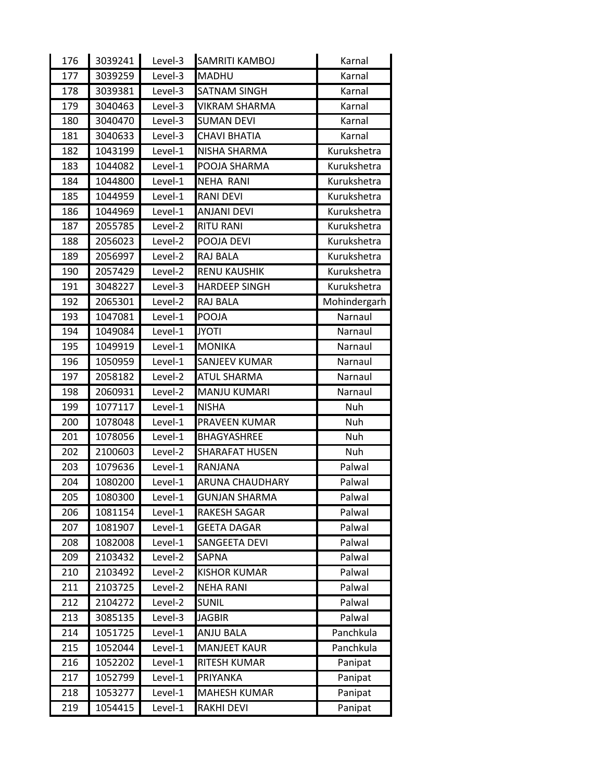| 176 | 3039241 | Level-3 | SAMRITI KAMBOJ         | Karnal       |
|-----|---------|---------|------------------------|--------------|
| 177 | 3039259 | Level-3 | <b>MADHU</b>           | Karnal       |
| 178 | 3039381 | Level-3 | <b>SATNAM SINGH</b>    | Karnal       |
| 179 | 3040463 | Level-3 | <b>VIKRAM SHARMA</b>   | Karnal       |
| 180 | 3040470 | Level-3 | <b>SUMAN DEVI</b>      | Karnal       |
| 181 | 3040633 | Level-3 | <b>CHAVI BHATIA</b>    | Karnal       |
| 182 | 1043199 | Level-1 | NISHA SHARMA           | Kurukshetra  |
| 183 | 1044082 | Level-1 | POOJA SHARMA           | Kurukshetra  |
| 184 | 1044800 | Level-1 | <b>NEHA RANI</b>       | Kurukshetra  |
| 185 | 1044959 | Level-1 | <b>RANI DEVI</b>       | Kurukshetra  |
| 186 | 1044969 | Level-1 | <b>ANJANI DEVI</b>     | Kurukshetra  |
| 187 | 2055785 | Level-2 | <b>RITU RANI</b>       | Kurukshetra  |
| 188 | 2056023 | Level-2 | POOJA DEVI             | Kurukshetra  |
| 189 | 2056997 | Level-2 | <b>RAJ BALA</b>        | Kurukshetra  |
| 190 | 2057429 | Level-2 | <b>RENU KAUSHIK</b>    | Kurukshetra  |
| 191 | 3048227 | Level-3 | <b>HARDEEP SINGH</b>   | Kurukshetra  |
| 192 | 2065301 | Level-2 | <b>RAJ BALA</b>        | Mohindergarh |
| 193 | 1047081 | Level-1 | POOJA                  | Narnaul      |
| 194 | 1049084 | Level-1 | <b>JYOTI</b>           | Narnaul      |
| 195 | 1049919 | Level-1 | <b>MONIKA</b>          | Narnaul      |
| 196 | 1050959 | Level-1 | SANJEEV KUMAR          | Narnaul      |
| 197 | 2058182 | Level-2 | <b>ATUL SHARMA</b>     | Narnaul      |
| 198 | 2060931 | Level-2 | <b>MANJU KUMARI</b>    | Narnaul      |
|     |         |         | <b>NISHA</b>           | Nuh          |
| 199 | 1077117 | Level-1 |                        |              |
| 200 | 1078048 | Level-1 | PRAVEEN KUMAR          | Nuh          |
| 201 | 1078056 | Level-1 | <b>BHAGYASHREE</b>     | Nuh          |
| 202 | 2100603 | Level-2 | <b>SHARAFAT HUSEN</b>  | Nuh          |
| 203 | 1079636 | Level-1 | RANJANA                | Palwal       |
| 204 | 1080200 | Level-1 | <b>ARUNA CHAUDHARY</b> | Palwal       |
| 205 | 1080300 | Level-1 | <b>GUNJAN SHARMA</b>   | Palwal       |
| 206 | 1081154 | Level-1 | <b>RAKESH SAGAR</b>    | Palwal       |
| 207 | 1081907 | Level-1 | <b>GEETA DAGAR</b>     | Palwal       |
| 208 | 1082008 | Level-1 | <b>SANGEETA DEVI</b>   | Palwal       |
| 209 | 2103432 | Level-2 | SAPNA                  | Palwal       |
| 210 | 2103492 | Level-2 | <b>KISHOR KUMAR</b>    | Palwal       |
| 211 | 2103725 | Level-2 | <b>NEHA RANI</b>       | Palwal       |
| 212 | 2104272 | Level-2 | <b>SUNIL</b>           | Palwal       |
| 213 | 3085135 | Level-3 | <b>JAGBIR</b>          | Palwal       |
| 214 | 1051725 | Level-1 | <b>ANJU BALA</b>       | Panchkula    |
| 215 | 1052044 | Level-1 | <b>MANJEET KAUR</b>    | Panchkula    |
| 216 | 1052202 | Level-1 | RITESH KUMAR           | Panipat      |
| 217 | 1052799 | Level-1 | PRIYANKA               | Panipat      |
| 218 | 1053277 | Level-1 | <b>MAHESH KUMAR</b>    | Panipat      |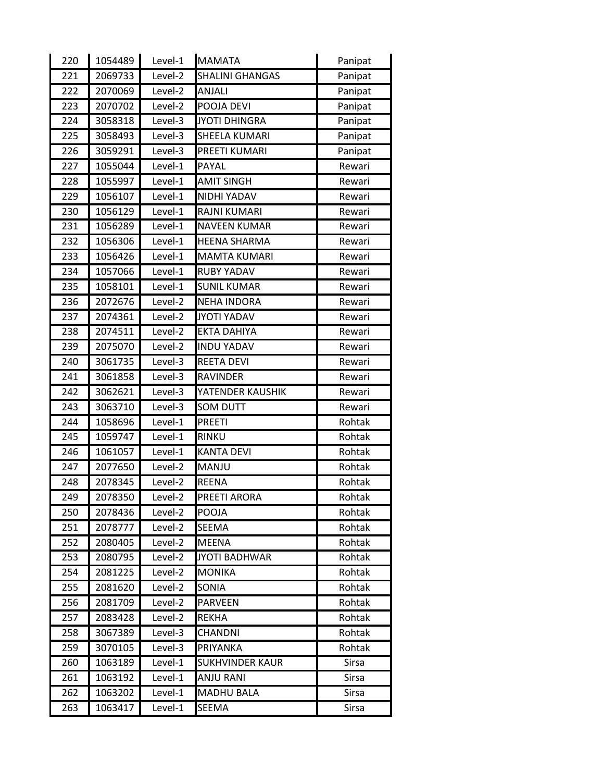| 220  | 1054489 | Level-1 | <b>MAMATA</b>          | Panipat      |
|------|---------|---------|------------------------|--------------|
| 221  | 2069733 | Level-2 | <b>SHALINI GHANGAS</b> | Panipat      |
| 222  | 2070069 | Level-2 | ANJALI                 | Panipat      |
| 223  | 2070702 | Level-2 | POOJA DEVI             | Panipat      |
| 224  | 3058318 | Level-3 | <b>JYOTI DHINGRA</b>   | Panipat      |
| 225  | 3058493 | Level-3 | SHEELA KUMARI          | Panipat      |
| 226  | 3059291 | Level-3 | PREETI KUMARI          | Panipat      |
| 227  | 1055044 | Level-1 | PAYAL                  | Rewari       |
| 228  | 1055997 | Level-1 | <b>AMIT SINGH</b>      | Rewari       |
| 229  | 1056107 | Level-1 | NIDHI YADAV            | Rewari       |
| 230  | 1056129 | Level-1 | RAJNI KUMARI           | Rewari       |
| 231  | 1056289 | Level-1 | <b>NAVEEN KUMAR</b>    | Rewari       |
| 232  | 1056306 | Level-1 | <b>HEENA SHARMA</b>    | Rewari       |
| 233  | 1056426 | Level-1 | <b>MAMTA KUMARI</b>    | Rewari       |
| 234  | 1057066 | Level-1 | <b>RUBY YADAV</b>      | Rewari       |
| 235  | 1058101 | Level-1 | <b>SUNIL KUMAR</b>     | Rewari       |
| 236  | 2072676 | Level-2 | <b>NEHA INDORA</b>     | Rewari       |
| 237  | 2074361 | Level-2 | <b>JYOTI YADAV</b>     | Rewari       |
| 238  | 2074511 | Level-2 | <b>EKTA DAHIYA</b>     | Rewari       |
| 239  | 2075070 | Level-2 | <b>INDU YADAV</b>      | Rewari       |
| 240  | 3061735 | Level-3 | <b>REETA DEVI</b>      | Rewari       |
| 241  | 3061858 | Level-3 | <b>RAVINDER</b>        | Rewari       |
| 242  | 3062621 | Level-3 | YATENDER KAUSHIK       | Rewari       |
| 243  | 3063710 | Level-3 | <b>SOM DUTT</b>        | Rewari       |
| 244  | 1058696 | Level-1 | <b>PREETI</b>          | Rohtak       |
| 245  | 1059747 | Level-1 | <b>RINKU</b>           | Rohtak       |
| 246  | 1061057 | Level-1 | <b>KANTA DEVI</b>      | Rohtak       |
| 247  | 2077650 | Level-2 | MANJU                  | Rohtak       |
| 248  | 2078345 | Level-2 | <b>REENA</b>           | Rohtak       |
| 249. | 2078350 | Level-2 | PREETI ARORA           | Rohtak       |
| 250  | 2078436 | Level-2 | POOJA                  | Rohtak       |
| 251  | 2078777 | Level-2 | SEEMA                  | Rohtak       |
| 252  | 2080405 | Level-2 | <b>MEENA</b>           | Rohtak       |
| 253  | 2080795 | Level-2 | <b>JYOTI BADHWAR</b>   | Rohtak       |
| 254  | 2081225 | Level-2 | <b>MONIKA</b>          | Rohtak       |
| 255  | 2081620 | Level-2 | SONIA                  | Rohtak       |
| 256  | 2081709 | Level-2 | <b>PARVEEN</b>         | Rohtak       |
| 257  | 2083428 | Level-2 | <b>REKHA</b>           | Rohtak       |
| 258  | 3067389 | Level-3 | <b>CHANDNI</b>         | Rohtak       |
| 259  | 3070105 | Level-3 | PRIYANKA               | Rohtak       |
| 260  | 1063189 | Level-1 | <b>SUKHVINDER KAUR</b> | Sirsa        |
| 261  | 1063192 | Level-1 | <b>ANJU RANI</b>       | <b>Sirsa</b> |
| 262  | 1063202 | Level-1 | <b>MADHU BALA</b>      | Sirsa        |
| 263  | 1063417 | Level-1 | SEEMA                  | Sirsa        |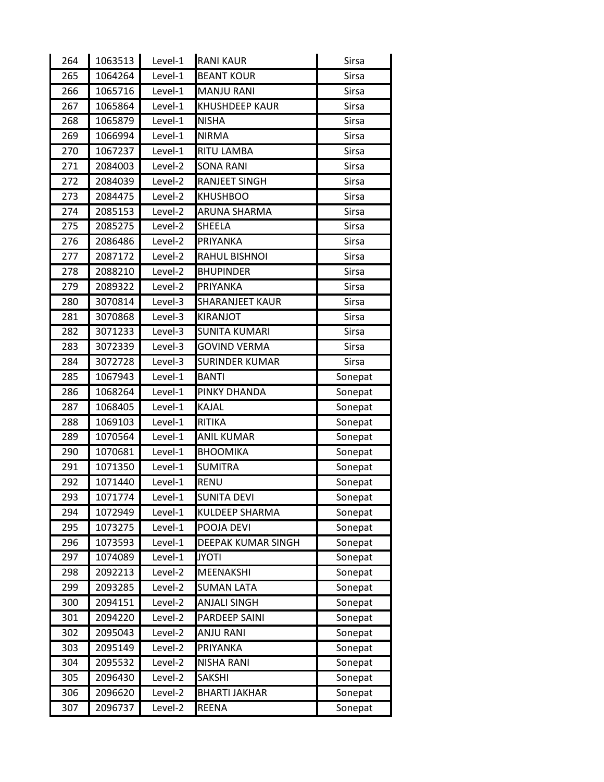| 264              | 1063513 | Level-1 | <b>RANI KAUR</b>       | Sirsa        |
|------------------|---------|---------|------------------------|--------------|
| 265              | 1064264 | Level-1 | <b>BEANT KOUR</b>      | <b>Sirsa</b> |
| 266              | 1065716 | Level-1 | <b>MANJU RANI</b>      | <b>Sirsa</b> |
| 267              | 1065864 | Level-1 | <b>KHUSHDEEP KAUR</b>  | <b>Sirsa</b> |
| 268              | 1065879 | Level-1 | <b>NISHA</b>           | Sirsa        |
| 269              | 1066994 | Level-1 | <b>NIRMA</b>           | <b>Sirsa</b> |
| 270              | 1067237 | Level-1 | RITU LAMBA             | <b>Sirsa</b> |
| 271              | 2084003 | Level-2 | <b>SONA RANI</b>       | Sirsa        |
| 272              | 2084039 | Level-2 | <b>RANJEET SINGH</b>   | Sirsa        |
| 273              | 2084475 | Level-2 | <b>KHUSHBOO</b>        | <b>Sirsa</b> |
| $\overline{274}$ | 2085153 | Level-2 | <b>ARUNA SHARMA</b>    | Sirsa        |
| 275              | 2085275 | Level-2 | SHEELA                 | Sirsa        |
| 276              | 2086486 | Level-2 | PRIYANKA               | <b>Sirsa</b> |
| 277              | 2087172 | Level-2 | RAHUL BISHNOI          | <b>Sirsa</b> |
| 278              | 2088210 | Level-2 | <b>BHUPINDER</b>       | <b>Sirsa</b> |
| 279              | 2089322 | Level-2 | PRIYANKA               | Sirsa        |
| 280              | 3070814 | Level-3 | <b>SHARANJEET KAUR</b> | <b>Sirsa</b> |
| 281              | 3070868 | Level-3 | <b>KIRANJOT</b>        | Sirsa        |
| 282              | 3071233 | Level-3 | <b>SUNITA KUMARI</b>   | <b>Sirsa</b> |
| 283              | 3072339 | Level-3 | <b>GOVIND VERMA</b>    | <b>Sirsa</b> |
| 284              | 3072728 | Level-3 | SURINDER KUMAR         | <b>Sirsa</b> |
| 285              | 1067943 | Level-1 | <b>BANTI</b>           | Sonepat      |
| 286              | 1068264 | Level-1 | PINKY DHANDA           | Sonepat      |
| 287              | 1068405 | Level-1 | KAJAL                  | Sonepat      |
|                  |         |         |                        |              |
| 288              | 1069103 | Level-1 | <b>RITIKA</b>          | Sonepat      |
| 289              | 1070564 | Level-1 | <b>ANIL KUMAR</b>      | Sonepat      |
| 290              | 1070681 | Level-1 | <b>BHOOMIKA</b>        | Sonepat      |
| 291              | 1071350 | Level-1 | <b>SUMITRA</b>         | Sonepat      |
| 292              | 1071440 | Level-1 | <b>RENU</b>            | Sonepat      |
| 293              | 1071774 | Level-1 | <b>SUNITA DEVI</b>     | Sonepat      |
| 294              | 1072949 | Level-1 | KULDEEP SHARMA         | Sonepat      |
| 295              | 1073275 | Level-1 | POOJA DEVI             | Sonepat      |
| 296              | 1073593 | Level-1 | DEEPAK KUMAR SINGH     | Sonepat      |
| 297              | 1074089 | Level-1 | <b>JYOTI</b>           | Sonepat      |
| 298              | 2092213 | Level-2 | MEENAKSHI              | Sonepat      |
| 299              | 2093285 | Level-2 | <b>SUMAN LATA</b>      | Sonepat      |
| 300              | 2094151 | Level-2 | <b>ANJALI SINGH</b>    | Sonepat      |
| 301              | 2094220 | Level-2 | PARDEEP SAINI          | Sonepat      |
| 302              | 2095043 | Level-2 | <b>ANJU RANI</b>       | Sonepat      |
| 303              | 2095149 | Level-2 | PRIYANKA               | Sonepat      |
| 304              | 2095532 | Level-2 | <b>NISHA RANI</b>      | Sonepat      |
| 305              | 2096430 | Level-2 | <b>SAKSHI</b>          | Sonepat      |
| 306              | 2096620 | Level-2 | <b>BHARTI JAKHAR</b>   | Sonepat      |